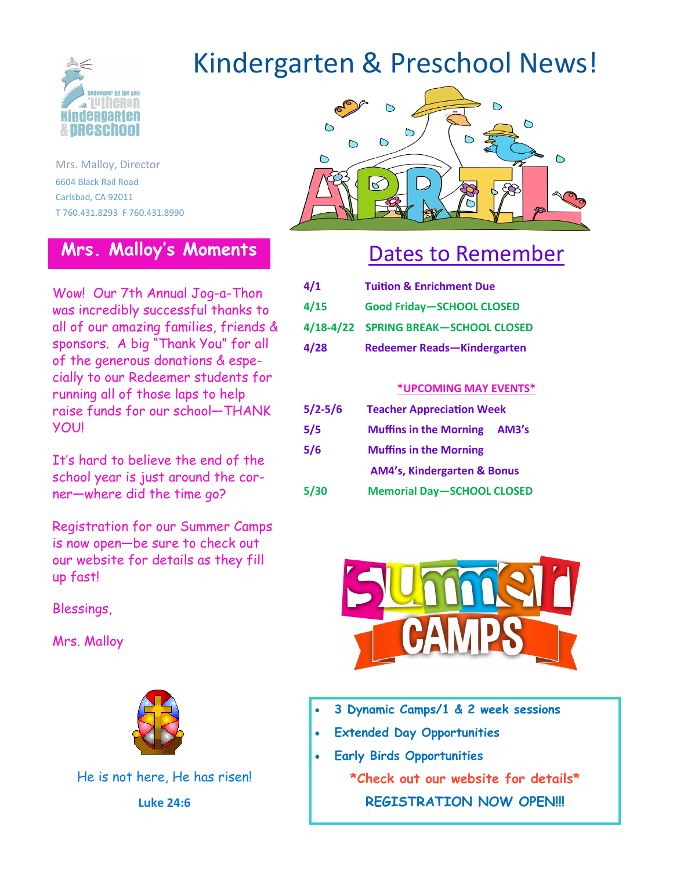

Mrs. Malloy, Director 6604 Black Rail Road Carlsbad, CA 92011 T 760.431.8293 F 760.431.8990

#### **Mrs. Malloy's Moments**

Wow! Our 7th Annual Jog-a-Thon was incredibly successful thanks to all of our amazing families, friends & sponsors. A big "Thank You" for all of the generous donations & especially to our Redeemer students for running all of those laps to help raise funds for our school—THANK **YOU!** 

It's hard to believe the end of the school year is just around the corner—where did the time go?

Registration for our Summer Camps is now open—be sure to check out our website for details as they fill up fast!

Blessings,

Mrs. Malloy



He is not here, He has risen! **Luke 24:6**

# Kindergarten & Preschool News!



### Dates to Remember

| 4/1  | <b>Tuition &amp; Enrichment Due</b>  |
|------|--------------------------------------|
| 4/15 | <b>Good Friday-SCHOOL CLOSED</b>     |
|      | 4/18-4/22 SPRING BREAK-SCHOOL CLOSED |
| 4/28 | Redeemer Reads-Kindergarten          |

#### **\*UPCOMING MAY EVENTS\***

| $5/2 - 5/6$ | <b>Teacher Appreciation Week</b>       |
|-------------|----------------------------------------|
| 5/5         | <b>Muffins in the Morning</b><br>AM3's |
| 5/6         | <b>Muffins in the Morning</b>          |
|             | <b>AM4's, Kindergarten &amp; Bonus</b> |
| 5/30        | <b>Memorial Day-SCHOOL CLOSED</b>      |
|             |                                        |



- **3 Dynamic Camps/1 & 2 week sessions**
- **Extended Day Opportunities**
- **Early Birds Opportunities \*Check out our website for details\* REGISTRATION NOW OPEN!!!**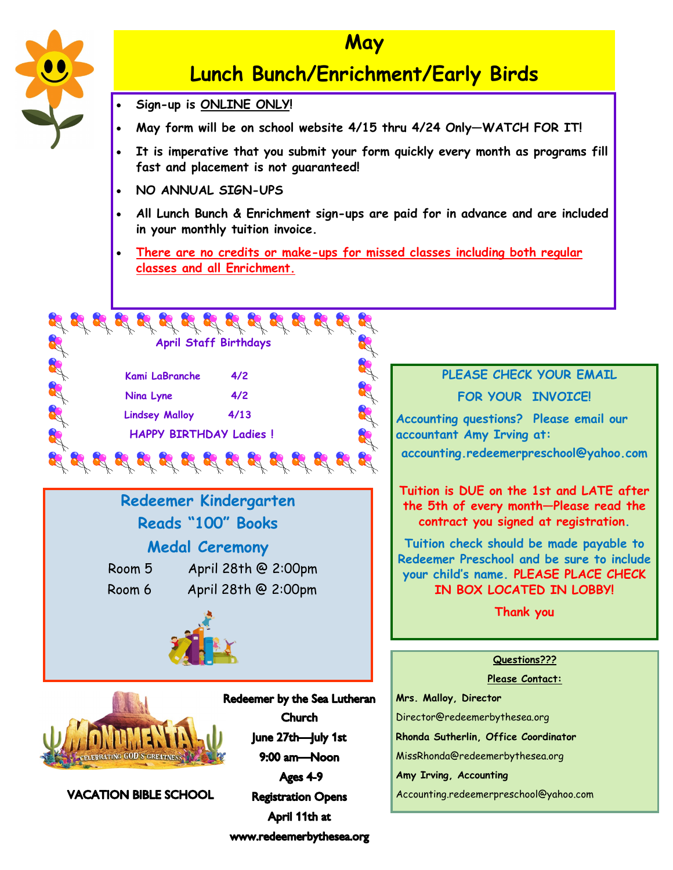

#### **May**

### **Lunch Bunch/Enrichment/Early Birds**

- **Sign-up is ONLINE ONLY!**
- **May form will be on school website 4/15 thru 4/24 Only—WATCH FOR IT!**
- **It is imperative that you submit your form quickly every month as programs fill fast and placement is not guaranteed!**
- **NO ANNUAL SIGN-UPS**
- **All Lunch Bunch & Enrichment sign-ups are paid for in advance and are included in your monthly tuition invoice.**
- **There are no credits or make-ups for missed classes including both regular classes and all Enrichment.**



**Redeemer Kindergarten** 

**Reads "100" Books**

**Medal Ceremony**

 Room 5 April 28th @ 2:00pm Room 6 April 28th @ 2:00pm

### **PLEASE CHECK YOUR EMAIL**

**FOR YOUR INVOICE!**

**Accounting questions? Please email our accountant Amy Irving at:** 

**accounting.redeemerpreschool@yahoo.com**

**Tuition is DUE on the 1st and LATE after the 5th of every month—Please read the contract you signed at registration.**

**Tuition check should be made payable to Redeemer Preschool and be sure to include your child's name. PLEASE PLACE CHECK IN BOX LOCATED IN LOBBY!** 

**Thank you**

#### **Questions???**

**Please Contact:**

**Mrs. Malloy, Director** Director@redeemerbythesea.org **Rhonda Sutherlin, Office Coordinator** MissRhonda@redeemerbythesea.org

**Amy Irving, Accounting**

Accounting.redeemerpreschool@yahoo.com



**VACATION BIBLE SCHOOL** 

 $9:00$  am-Noon Ages 4-9 **Registration Opens** April 11th at www.redeemerbythesea.org

**Church** June 27th-July 1st